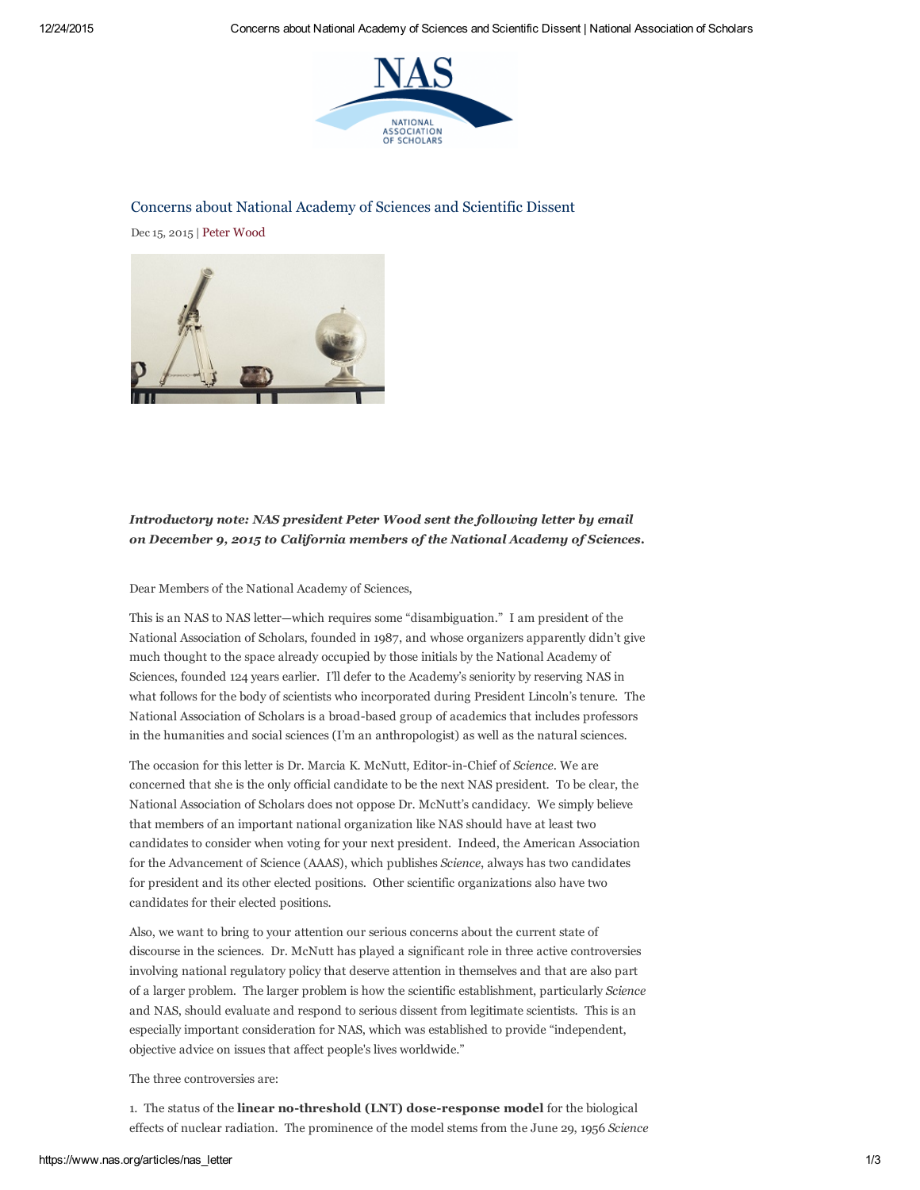

## Concerns about National Academy of Sciences and Scientific Dissent

Dec 15, 2015 | Peter [Wood](https://www.nas.org/authors/peter_wood)



# Introductory note: NAS president Peter Wood sent the following letter by email on December 9, 2015 to California members of the National Academy of Sciences.

### Dear Members of the National Academy of Sciences,

This is an NAS to NAS letter—which requires some "disambiguation." I am president of the National Association of Scholars, founded in 1987, and whose organizers apparently didn't give much thought to the space already occupied by those initials by the National Academy of Sciences, founded 124 years earlier. I'll defer to the Academy's seniority by reserving NAS in what follows for the body of scientists who incorporated during President Lincoln's tenure. The National Association of Scholars is a broad-based group of academics that includes professors in the humanities and social sciences (I'm an anthropologist) as well as the natural sciences.

The occasion for this letter is Dr. Marcia K. McNutt, Editor-in-Chief of Science. We are concerned that she is the only official candidate to be the next NAS president. To be clear, the National Association of Scholars does not oppose Dr. McNutt's candidacy. We simply believe that members of an important national organization like NAS should have at least two candidates to consider when voting for your next president. Indeed, the American Association for the Advancement of Science (AAAS), which publishes Science, always has two candidates for president and its other elected positions. Other scientific organizations also have two candidates for their elected positions.

Also, we want to bring to your attention our serious concerns about the current state of discourse in the sciences. Dr. McNutt has played a significant role in three active controversies involving national regulatory policy that deserve attention in themselves and that are also part of a larger problem. The larger problem is how the scientific establishment, particularly Science and NAS, should evaluate and respond to serious dissent from legitimate scientists. This is an especially important consideration for NAS, which was established to provide "independent, objective advice on issues that affect people's lives worldwide."

#### The three controversies are:

1. The status of the linear no-threshold (LNT) dose-response model for the biological effects of nuclear radiation. The prominence of the model stems from the June 29, 1956 Science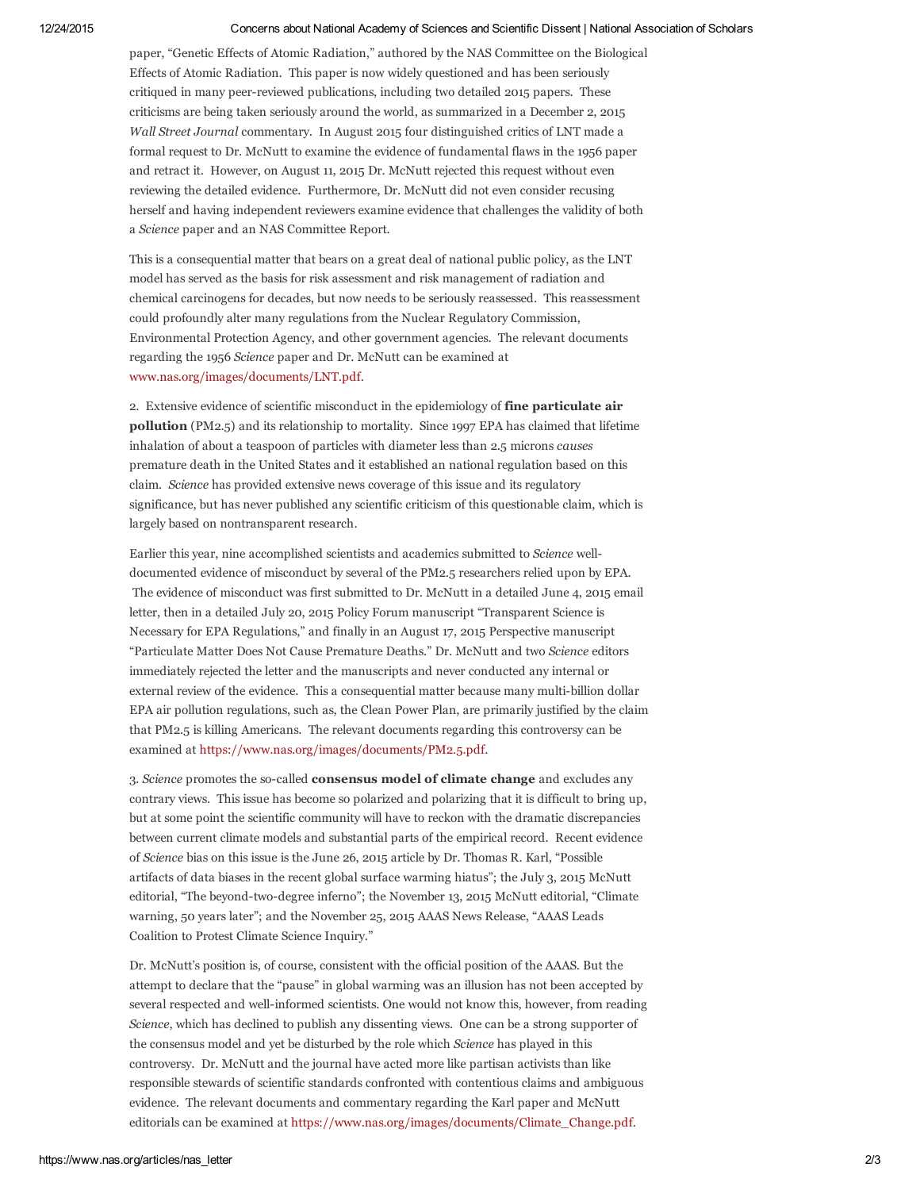#### 12/24/2015 Concerns about National Academy of Sciences and Scientific Dissent | National Association of Scholars

paper, "Genetic Effects of Atomic Radiation," authored by the NAS Committee on the Biological Effects of Atomic Radiation. This paper is now widely questioned and has been seriously critiqued in many peer-reviewed publications, including two detailed 2015 papers. These criticisms are being taken seriously around the world, as summarized in a December 2, 2015 Wall Street Journal commentary. In August 2015 four distinguished critics of LNT made a formal request to Dr. McNutt to examine the evidence of fundamental flaws in the 1956 paper and retract it. However, on August 11, 2015 Dr. McNutt rejected this request without even reviewing the detailed evidence. Furthermore, Dr. McNutt did not even consider recusing herself and having independent reviewers examine evidence that challenges the validity of both a Science paper and an NAS Committee Report.

This is a consequential matter that bears on a great deal of national public policy, as the LNT model has served as the basis for risk assessment and risk management of radiation and chemical carcinogens for decades, but now needs to be seriously reassessed. This reassessment could profoundly alter many regulations from the Nuclear Regulatory Commission, Environmental Protection Agency, and other government agencies. The relevant documents regarding the 1956 Science paper and Dr. McNutt can be examined at [www.nas.org/images/documents/LNT.pdf](http://www.nas.org/images/documents/LNT.pdf).

2. Extensive evidence of scientific misconduct in the epidemiology of fine particulate air pollution (PM2.5) and its relationship to mortality. Since 1997 EPA has claimed that lifetime inhalation of about a teaspoon of particles with diameter less than 2.5 microns causes premature death in the United States and it established an national regulation based on this claim. Science has provided extensive news coverage of this issue and its regulatory significance, but has never published any scientific criticism of this questionable claim, which is largely based on nontransparent research.

Earlier this year, nine accomplished scientists and academics submitted to Science welldocumented evidence of misconduct by several of the PM2.5 researchers relied upon by EPA. The evidence of misconduct was first submitted to Dr. McNutt in a detailed June 4, 2015 email letter, then in a detailed July 20, 2015 Policy Forum manuscript "Transparent Science is Necessary for EPA Regulations," and finally in an August 17, 2015 Perspective manuscript "Particulate Matter Does Not Cause Premature Deaths." Dr. McNutt and two Science editors immediately rejected the letter and the manuscripts and never conducted any internal or external review of the evidence. This a consequential matter because many multi-billion dollar EPA air pollution regulations, such as, the Clean Power Plan, are primarily justified by the claim that PM2.5 is killing Americans. The relevant documents regarding this controversy can be examined at [https://www.nas.org/images/documents/PM2.5.pdf.](https://www.nas.org/images/documents/PM2.5.pdf)

3. Science promotes the so-called **consensus model of climate change** and excludes any contrary views. This issue has become so polarized and polarizing that it is difficult to bring up, but at some point the scientific community will have to reckon with the dramatic discrepancies between current climate models and substantial parts of the empirical record. Recent evidence of Science bias on this issue is the June 26, 2015 article by Dr. Thomas R. Karl, "Possible artifacts of data biases in the recent global surface warming hiatus"; the July 3, 2015 McNutt editorial, "The beyond-two-degree inferno"; the November 13, 2015 McNutt editorial, "Climate warning, 50 years later"; and the November 25, 2015 AAAS News Release, "AAAS Leads Coalition to Protest Climate Science Inquiry."

Dr. McNutt's position is, of course, consistent with the official position of the AAAS. But the attempt to declare that the "pause" in global warming was an illusion has not been accepted by several respected and well-informed scientists. One would not know this, however, from reading Science, which has declined to publish any dissenting views. One can be a strong supporter of the consensus model and yet be disturbed by the role which Science has played in this controversy. Dr. McNutt and the journal have acted more like partisan activists than like responsible stewards of scientific standards confronted with contentious claims and ambiguous evidence. The relevant documents and commentary regarding the Karl paper and McNutt editorials can be examined at [https://www.nas.org/images/documents/Climate\\_Change.pdf](https://www.nas.org/images/documents/Climate_Change.pdf).